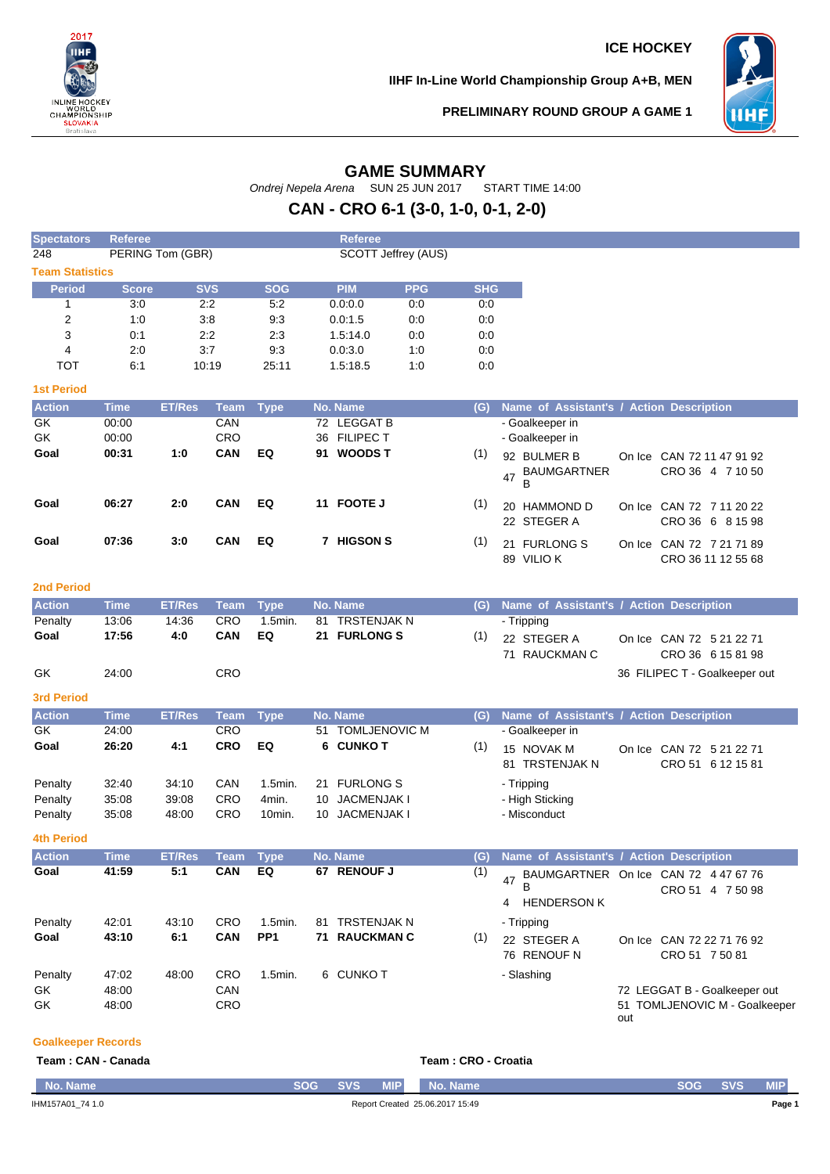

**IIHF In-Line World Championship Group A+B, MEN**



**PRELIMINARY ROUND GROUP A GAME 1**

# **GAME SUMMARY**

Ondrej Nepela Arena SUN 25 JUN 2017 START TIME 14:00

# **CAN - CRO 6-1 (3-0, 1-0, 0-1, 2-0)**

| <b>Spectators</b>                         | <b>Referee</b>                                        |                      |                    |                   |  | <b>Referee</b>               |            |            |                                                 |     |                                                          |
|-------------------------------------------|-------------------------------------------------------|----------------------|--------------------|-------------------|--|------------------------------|------------|------------|-------------------------------------------------|-----|----------------------------------------------------------|
| 248                                       | <b>PERING Tom (GBR)</b><br><b>SCOTT Jeffrey (AUS)</b> |                      |                    |                   |  |                              |            |            |                                                 |     |                                                          |
| <b>Team Statistics</b>                    |                                                       |                      |                    |                   |  |                              |            |            |                                                 |     |                                                          |
| <b>Period</b>                             | <b>Score</b>                                          |                      | <b>SVS</b>         | <b>SOG</b>        |  | <b>PIM</b>                   | <b>PPG</b> | <b>SHG</b> |                                                 |     |                                                          |
| $\mathbf{1}$                              | 3:0                                                   |                      | 2:2                | 5:2               |  | 0.0:0.0                      | 0:0        | 0.0        |                                                 |     |                                                          |
| $\overline{2}$                            | 1:0                                                   |                      | 3:8                | 9:3               |  | 0.0:1.5                      | 0:0        | 0:0        |                                                 |     |                                                          |
| 3                                         | 0:1                                                   |                      | 2:2                | 2:3               |  | 1.5:14.0                     | 0:0        | 0:0        |                                                 |     |                                                          |
| $\overline{4}$                            | 2:0                                                   |                      | 3:7                | 9:3               |  | 0.0.3.0                      | 1:0        | 0:0        |                                                 |     |                                                          |
| <b>TOT</b>                                | 6:1                                                   |                      | 10:19              | 25:11             |  | 1.5:18.5                     | 1:0        | 0:0        |                                                 |     |                                                          |
| <b>1st Period</b>                         |                                                       |                      |                    |                   |  |                              |            |            |                                                 |     |                                                          |
| <b>Action</b>                             | <b>Time</b>                                           | <b>ET/Res</b>        | <b>Team</b>        | <b>Type</b>       |  | No. Name                     |            | (G)        | <b>Name of Assistant's / Action Description</b> |     |                                                          |
| GK                                        | 00:00                                                 |                      | CAN                |                   |  | 72 LEGGAT B                  |            |            | - Goalkeeper in                                 |     |                                                          |
| GK                                        | 00:00                                                 |                      | CRO                |                   |  | 36 FILIPEC T                 |            |            | - Goalkeeper in                                 |     |                                                          |
| Goal                                      | 00:31                                                 | 1:0                  | <b>CAN</b>         | EQ                |  | 91 WOODS T                   |            | (1)        | 92 BULMER B<br><b>BAUMGARTNER</b><br>47<br>B    |     | On Ice CAN 72 11 47 91 92<br>CRO 36 4 7 10 50            |
| Goal                                      | 06:27                                                 | 2:0                  | CAN                | EQ                |  | 11 FOOTE J                   |            | (1)        | 20 HAMMOND D<br>22 STEGER A                     |     | On Ice CAN 72 7 11 20 22<br>CRO 36 6 8 15 98             |
| Goal                                      | 07:36                                                 | 3:0                  | <b>CAN</b>         | EQ                |  | 7 HIGSON S                   |            | (1)        | 21 FURLONG S<br>89 VILIOK                       |     | On Ice CAN 72 7 21 71 89<br>CRO 36 11 12 55 68           |
| <b>2nd Period</b>                         |                                                       |                      |                    |                   |  |                              |            |            |                                                 |     |                                                          |
| <b>Action</b>                             | <b>Time</b>                                           | <b>ET/Res</b>        | <b>Team</b>        | <b>Type</b>       |  | No. Name                     |            | (G)        | Name of Assistant's / Action Description        |     |                                                          |
| Penalty                                   | 13:06                                                 | 14:36                | CRO                | 1.5min.           |  | 81 TRSTENJAK N               |            |            | - Tripping                                      |     |                                                          |
| Goal                                      | 17:56                                                 | 4:0                  | CAN                | EQ                |  | 21 FURLONG S                 |            | (1)        | 22 STEGER A                                     |     | On Ice CAN 72 5 21 22 71                                 |
|                                           |                                                       |                      |                    |                   |  |                              |            |            | 71 RAUCKMAN C                                   |     | CRO 36 6 15 81 98                                        |
| GK                                        | 24:00                                                 |                      | CRO                |                   |  |                              |            |            |                                                 |     | 36 FILIPEC T - Goalkeeper out                            |
|                                           |                                                       |                      |                    |                   |  |                              |            |            |                                                 |     |                                                          |
| <b>3rd Period</b>                         |                                                       |                      |                    |                   |  |                              |            |            |                                                 |     |                                                          |
| <b>Action</b><br><b>GK</b>                | <b>Time</b>                                           | <b>ET/Res</b>        | <b>Team</b><br>CRO | <b>Type</b>       |  | No. Name<br>51 TOMLJENOVIC M |            | (G)        | Name of Assistant's / Action Description        |     |                                                          |
| Goal                                      | 24:00<br>26:20                                        | 4:1                  | <b>CRO</b>         | EQ                |  | 6 CUNKO T                    |            | (1)        | - Goalkeeper in                                 |     |                                                          |
|                                           |                                                       |                      |                    |                   |  |                              |            |            | 15 NOVAK M<br>81 TRSTENJAK N                    |     | On Ice CAN 72 5 21 22 71<br>CRO 51 6 12 15 81            |
| Penalty                                   | 32:40                                                 | 34:10                | CAN                | 1.5min.           |  | 21 FURLONG S                 |            |            | - Tripping                                      |     |                                                          |
| Penalty                                   | 35:08                                                 | 39:08                | CRO                | 4min.             |  | 10 JACMENJAK I               |            |            | - High Sticking                                 |     |                                                          |
| Penalty                                   | 35:08                                                 | 48:00                | CRO                | 10min.            |  | 10 JACMENJAK I               |            |            | - Misconduct                                    |     |                                                          |
| <b>4th Period</b>                         |                                                       |                      |                    |                   |  |                              |            |            |                                                 |     |                                                          |
|                                           |                                                       |                      |                    |                   |  | No. Name                     |            |            |                                                 |     |                                                          |
| <b>Action</b><br>Goal                     | <b>Time</b><br>41:59                                  | <b>ET/Res</b><br>5:1 | Team<br><b>CAN</b> | <b>Type</b><br>EQ |  | 67 RENOUF J                  |            | (G)<br>(1) | Name of Assistant's / Action Description        |     |                                                          |
|                                           |                                                       |                      |                    |                   |  |                              |            |            | 47<br>В                                         |     | BAUMGARTNER On Ice CAN 72 4 47 67 76<br>CRO 51 4 7 50 98 |
|                                           |                                                       |                      |                    |                   |  |                              |            |            | <b>HENDERSON K</b><br>4                         |     |                                                          |
| Penalty                                   | 42:01                                                 | 43:10                | <b>CRO</b>         | $1.5$ min.        |  | 81 TRSTENJAK N               |            |            | - Tripping                                      |     |                                                          |
| Goal                                      | 43:10                                                 | 6:1                  | <b>CAN</b>         | PP1               |  | <b>71 RAUCKMAN C</b>         |            | (1)        |                                                 |     |                                                          |
|                                           |                                                       |                      |                    |                   |  |                              |            |            | 22 STEGER A<br>76 RENOUF N                      |     | On Ice CAN 72 22 71 76 92<br>CRO 51 7 50 81              |
| Penalty                                   | 47:02                                                 | 48:00                | <b>CRO</b>         | 1.5min.           |  | 6 CUNKO T                    |            |            | - Slashing                                      |     |                                                          |
| GK                                        | 48:00                                                 |                      | CAN                |                   |  |                              |            |            |                                                 |     | 72 LEGGAT B - Goalkeeper out                             |
| GK                                        | 48:00                                                 |                      | CRO                |                   |  |                              |            |            |                                                 |     | 51 TOMLJENOVIC M - Goalkeeper                            |
|                                           |                                                       |                      |                    |                   |  |                              |            |            |                                                 | out |                                                          |
| <b>Goalkeeper Records</b>                 |                                                       |                      |                    |                   |  |                              |            |            |                                                 |     |                                                          |
| Team: CAN - Canada<br>Team: CRO - Croatia |                                                       |                      |                    |                   |  |                              |            |            |                                                 |     |                                                          |

| <b>No. Name</b>  | SOG                             | <b>SVS</b> | <b>MIP</b> | No. Name | SOG | <b>SVS</b> | <b>MIF</b> |
|------------------|---------------------------------|------------|------------|----------|-----|------------|------------|
| IHM157A01_74 1.0 | Report Created 25.06.2017 15:49 |            |            |          |     |            | Page 1     |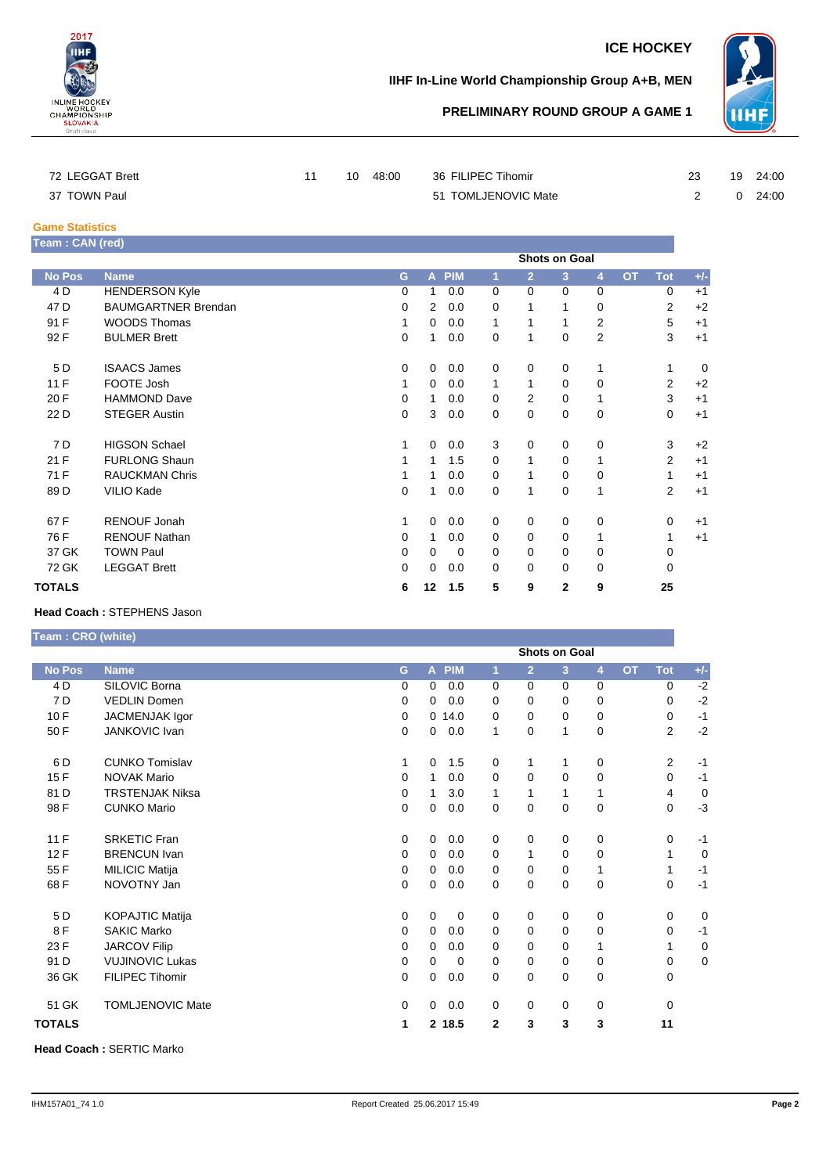

### **ICE HOCKEY**

## **IIHF In-Line World Championship Group A+B, MEN**



# **PRELIMINARY ROUND GROUP A GAME 1**

| 72 LEGGAT Brett |  | 10 48:00 | 36 FILIPEC Tihomir  |  | 19 24:00       |
|-----------------|--|----------|---------------------|--|----------------|
| 37 TOWN Paul    |  |          | 51 TOMLJENOVIC Mate |  | $0\quad 24:00$ |

#### **Game Statistics**

| Team : CAN (red) |                            |          |                |            |             |                |          |                |           |             |       |
|------------------|----------------------------|----------|----------------|------------|-------------|----------------|----------|----------------|-----------|-------------|-------|
|                  | <b>Shots on Goal</b>       |          |                |            |             |                |          |                |           |             |       |
| <b>No Pos</b>    | <b>Name</b>                | G        | A              | <b>PIM</b> | 1           | $\overline{2}$ | 3        | $\overline{4}$ | <b>OT</b> | <b>Tot</b>  | $+/-$ |
| 4 D              | <b>HENDERSON Kyle</b>      | 0        | 1              | 0.0        | 0           | 0              | $\Omega$ | $\Omega$       |           | 0           | $+1$  |
| 47 D             | <b>BAUMGARTNER Brendan</b> | 0        | $\overline{2}$ | 0.0        | 0           |                |          | $\Omega$       |           | 2           | $+2$  |
| 91 F             | <b>WOODS Thomas</b>        |          | 0              | 0.0        | 1           |                |          | 2              |           | 5           | $+1$  |
| 92 F             | <b>BULMER Brett</b>        | 0        | 1              | 0.0        | 0           | 1              | 0        | $\overline{2}$ |           | 3           | $+1$  |
| 5 D              | <b>ISAACS James</b>        | 0        | $\mathbf 0$    | 0.0        | $\mathbf 0$ | 0              | 0        | 1              |           | 1           | 0     |
| 11F              | FOOTE Josh                 | 1        | 0              | 0.0        | 1           | 1              | $\Omega$ | $\Omega$       |           | 2           | $+2$  |
| 20 F             | <b>HAMMOND Dave</b>        | 0        | 1              | 0.0        | 0           | 2              | 0        | 1              |           | 3           | $+1$  |
| 22 D             | <b>STEGER Austin</b>       | 0        | 3              | 0.0        | 0           | $\Omega$       | 0        | 0              |           | $\mathbf 0$ | $+1$  |
| 7 D              | <b>HIGSON Schael</b>       | 1        | 0              | 0.0        | 3           | 0              | 0        | 0              |           | 3           | $+2$  |
| 21 F             | <b>FURLONG Shaun</b>       | 1        | 1              | 1.5        | $\Omega$    | 1              | 0        | 1              |           | 2           | $+1$  |
| 71 F             | <b>RAUCKMAN Chris</b>      | 1        | 1              | 0.0        | $\Omega$    | 1              | $\Omega$ | $\Omega$       |           | 1           | $+1$  |
| 89 <sub>D</sub>  | VILIO Kade                 | 0        | 1              | 0.0        | 0           | 1              | 0        | 1              |           | 2           | $+1$  |
| 67 F             | <b>RENOUF Jonah</b>        | 1        | 0              | 0.0        | 0           | 0              | $\Omega$ | 0              |           | 0           | $+1$  |
| 76 F             | <b>RENOUF Nathan</b>       | 0        | 1              | 0.0        | 0           | 0              | 0        | 1              |           | 1           | $+1$  |
| 37 GK            | <b>TOWN Paul</b>           | 0        | $\Omega$       | $\Omega$   | $\Omega$    | $\Omega$       | 0        | 0              |           | 0           |       |
| 72 GK            | <b>LEGGAT Brett</b>        | $\Omega$ | $\mathbf 0$    | 0.0        | $\Omega$    | $\Omega$       | 0        | $\Omega$       |           | $\mathbf 0$ |       |
| <b>TOTALS</b>    |                            | 6        | 12             | 1.5        | 5           | 9              | 2        | 9              |           | 25          |       |

#### **Head Coach :** STEPHENS Jason

**Team : CRO (white)**

|               |                         | <b>Shots on Goal</b> |              |             |                |                |             |              |           |                |             |  |
|---------------|-------------------------|----------------------|--------------|-------------|----------------|----------------|-------------|--------------|-----------|----------------|-------------|--|
| <b>No Pos</b> | <b>Name</b>             | G                    | $\mathbf{A}$ | <b>PIM</b>  | 1              | $\overline{2}$ | 3           | 4            | <b>OT</b> | <b>Tot</b>     | $+/-$       |  |
| 4 D           | SILOVIC Borna           | 0                    | 0            | 0.0         | $\Omega$       | $\Omega$       | 0           | 0            |           | 0              | $-2$        |  |
| 7 D           | <b>VEDLIN Domen</b>     | 0                    | 0            | 0.0         | 0              | 0              | 0           | 0            |           | 0              | $-2$        |  |
| 10F           | JACMENJAK Igor          | 0                    |              | 0.14.0      | 0              | 0              | 0           | 0            |           | 0              | $-1$        |  |
| 50 F          | JANKOVIC Ivan           | 0                    | 0            | 0.0         | 1              | 0              | 1           | 0            |           | $\overline{2}$ | $-2$        |  |
| 6 D           | <b>CUNKO Tomislav</b>   | 1                    | 0            | 1.5         | 0              | 1              | 1           | 0            |           | 2              | $-1$        |  |
| 15F           | <b>NOVAK Mario</b>      | 0                    | 1            | 0.0         | $\Omega$       | $\Omega$       | $\Omega$    | 0            |           | 0              | $-1$        |  |
| 81 D          | <b>TRSTENJAK Niksa</b>  | 0                    | 1            | 3.0         | 1              | 1              | 1           | $\mathbf{1}$ |           | 4              | $\mathbf 0$ |  |
| 98 F          | <b>CUNKO Mario</b>      | 0                    | 0            | 0.0         | 0              | 0              | 0           | 0            |           | 0              | $-3$        |  |
| 11 F          | <b>SRKETIC Fran</b>     | $\mathbf 0$          | 0            | 0.0         | 0              | 0              | 0           | 0            |           | 0              | $-1$        |  |
| 12F           | <b>BRENCUN Ivan</b>     | 0                    | 0            | 0.0         | 0              | 1              | 0           | 0            |           | 1              | 0           |  |
| 55 F          | <b>MILICIC Matija</b>   | 0                    | $\mathbf 0$  | 0.0         | 0              | 0              | 0           | $\mathbf{1}$ |           | 1              | $-1$        |  |
| 68F           | NOVOTNY Jan             | 0                    | 0            | 0.0         | 0              | 0              | 0           | 0            |           | 0              | $-1$        |  |
| 5 D           | <b>KOPAJTIC Matija</b>  | 0                    | 0            | 0           | $\Omega$       | $\mathbf 0$    | $\mathbf 0$ | 0            |           | 0              | 0           |  |
| 8F            | <b>SAKIC Marko</b>      | 0                    | $\Omega$     | 0.0         | $\Omega$       | $\Omega$       | $\Omega$    | 0            |           | 0              | $-1$        |  |
| 23 F          | <b>JARCOV Filip</b>     | 0                    | 0            | 0.0         | 0              | 0              | 0           | 1            |           | 1              | $\mathbf 0$ |  |
| 91 D          | <b>VUJINOVIC Lukas</b>  | 0                    | 0            | $\mathbf 0$ | 0              | 0              | 0           | 0            |           | 0              | 0           |  |
| 36 GK         | <b>FILIPEC Tihomir</b>  | 0                    | 0            | 0.0         | $\Omega$       | 0              | 0           | 0            |           | 0              |             |  |
| 51 GK         | <b>TOMLJENOVIC Mate</b> | $\mathbf 0$          | 0            | 0.0         | 0              | $\mathbf 0$    | 0           | 0            |           | 0              |             |  |
| <b>TOTALS</b> |                         | 1                    |              | 2 18.5      | $\overline{2}$ | 3              | 3           | 3            |           | 11             |             |  |

**Head Coach :** SERTIC Marko